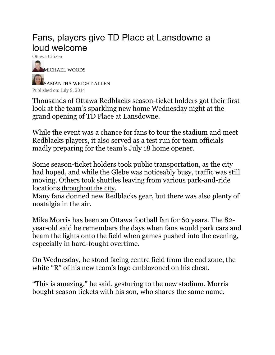## Fans, players give TD Place at Lansdowne a loud welcome

Ottawa Citizen **[MICHAEL](http://ottawacitizen.com/author/michaelrwoods1) WOODS** [SAMANTHA](http://ottawacitizen.com/author/samanthawrightallen) WRIGHT ALLEN Published on: July 9, 2014

Thousands of Ottawa Redblacks season-ticket holders got their first look at the team's sparkling new home Wednesday night at the grand opening of TD Place at Lansdowne.

While the event was a chance for fans to tour the stadium and meet Redblacks players, it also served as a test run for team officials madly preparing for the team's July 18 home opener.

Some season-ticket holders took public transportation, as the city had hoped, and while the Glebe was noticeably busy, traffic was still moving. Others took shuttles leaving from various park-and-ride locations [throughout](http://www.ottawaredblacks.com/the-game-plan-to-get-down-to-lansdowne) the city.

Many fans donned new Redblacks gear, but there was also plenty of nostalgia in the air.

Mike Morris has been an Ottawa football fan for 60 years. The 82 year-old said he remembers the days when fans would park cars and beam the lights onto the field when games pushed into the evening, especially in hard-fought overtime.

On Wednesday, he stood facing centre field from the end zone, the white "R" of his new team's logo emblazoned on his chest.

"This is amazing," he said, gesturing to the new stadium. Morris bought season tickets with his son, who shares the same name.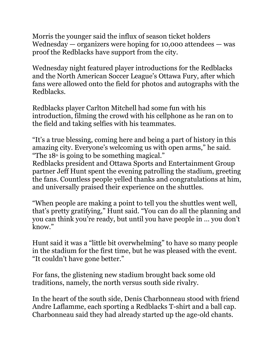Morris the younger said the influx of season ticket holders Wednesday  $-$  organizers were hoping for 10,000 attendees  $-$  was proof the Redblacks have support from the city.

Wednesday night featured player introductions for the Redblacks and the North American Soccer League's Ottawa Fury, after which fans were allowed onto the field for photos and autographs with the Redblacks.

Redblacks player Carlton Mitchell had some fun with his introduction, filming the crowd with his cellphone as he ran on to the field and taking selfies with his teammates.

"It's a true blessing, coming here and being a part of history in this amazing city. Everyone's welcoming us with open arms," he said. "The  $18<sup>th</sup>$  is going to be something magical."

Redblacks president and Ottawa Sports and Entertainment Group partner Jeff Hunt spent the evening patrolling the stadium, greeting the fans. Countless people yelled thanks and congratulations at him, and universally praised their experience on the shuttles.

"When people are making a point to tell you the shuttles went well, that's pretty gratifying," Hunt said. "You can do all the planning and you can think you're ready, but until you have people in … you don't know."

Hunt said it was a "little bit overwhelming" to have so many people in the stadium for the first time, but he was pleased with the event. "It couldn't have gone better."

For fans, the glistening new stadium brought back some old traditions, namely, the north versus south side rivalry.

In the heart of the south side, Denis Charbonneau stood with friend Andre Laflamme, each sporting a Redblacks T-shirt and a ball cap. Charbonneau said they had already started up the age-old chants.